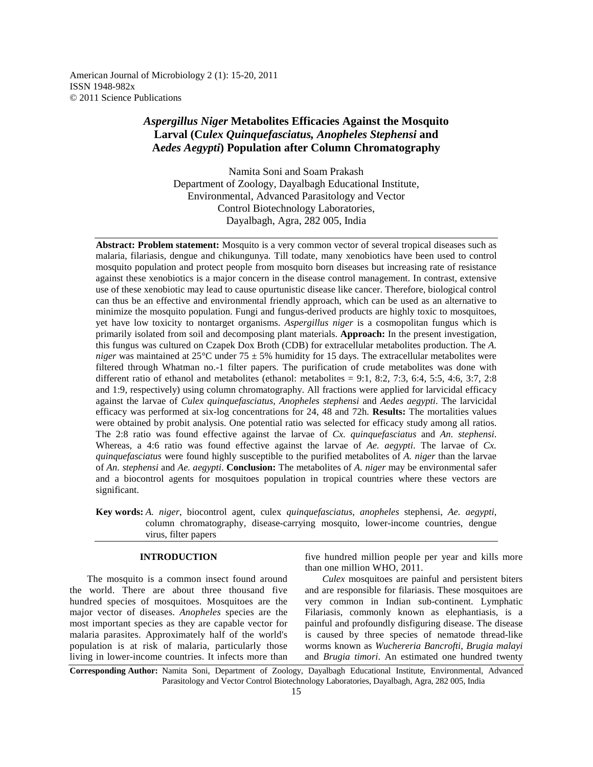American Journal of Microbiology 2 (1): 15-20, 2011 ISSN 1948-982x © 2011 Science Publications

# *Aspergillus Niger* **Metabolites Efficacies Against the Mosquito Larval (C***ulex Quinquefasciatus, Anopheles Stephensi* **and A***edes Aegypti***) Population after Column Chromatography**

Namita Soni and Soam Prakash Department of Zoology, Dayalbagh Educational Institute, Environmental, Advanced Parasitology and Vector Control Biotechnology Laboratories, Dayalbagh, Agra, 282 005, India

**Abstract: Problem statement:** Mosquito is a very common vector of several tropical diseases such as malaria, filariasis, dengue and chikungunya. Till todate, many xenobiotics have been used to control mosquito population and protect people from mosquito born diseases but increasing rate of resistance against these xenobiotics is a major concern in the disease control management. In contrast, extensive use of these xenobiotic may lead to cause opurtunistic disease like cancer. Therefore, biological control can thus be an effective and environmental friendly approach, which can be used as an alternative to minimize the mosquito population. Fungi and fungus-derived products are highly toxic to mosquitoes, yet have low toxicity to nontarget organisms. *Aspergillus niger* is a cosmopolitan fungus which is primarily isolated from soil and decomposing plant materials. **Approach:** In the present investigation, this fungus was cultured on Czapek Dox Broth (CDB) for extracellular metabolites production. The *A. niger* was maintained at 25°C under 75 ± 5% humidity for 15 days. The extracellular metabolites were filtered through Whatman no.-1 filter papers. The purification of crude metabolites was done with different ratio of ethanol and metabolites (ethanol: metabolites = 9:1, 8:2, 7:3, 6:4, 5:5, 4:6, 3:7, 2:8 and 1:9, respectively) using column chromatography. All fractions were applied for larvicidal efficacy against the larvae of *Culex quinquefasciatus, Anopheles stephensi* and *Aedes aegypti*. The larvicidal efficacy was performed at six-log concentrations for 24, 48 and 72h. **Results:** The mortalities values were obtained by probit analysis. One potential ratio was selected for efficacy study among all ratios. The 2:8 ratio was found effective against the larvae of *Cx. quinquefasciatus* and *An. stephensi*. Whereas, a 4:6 ratio was found effective against the larvae of *Ae. aegypti*. The larvae of *Cx. quinquefasciatus* were found highly susceptible to the purified metabolites of *A. niger* than the larvae of *An. stephensi* and *Ae. aegypti*. **Conclusion:** The metabolites of *A. niger* may be environmental safer and a biocontrol agents for mosquitoes population in tropical countries where these vectors are significant.

**Key words:** *A. niger*, biocontrol agent, culex *quinquefasciatus*, *anopheles* stephensi, *Ae. aegypti*, column chromatography, disease-carrying mosquito, lower-income countries, dengue virus, filter papers

# **INTRODUCTION**

 The mosquito is a common insect found around the world. There are about three thousand five hundred species of mosquitoes. Mosquitoes are the major vector of diseases. *Anopheles* species are the most important species as they are capable vector for malaria parasites. Approximately half of the world's population is at risk of malaria, particularly those living in lower-income countries. It infects more than

five hundred million people per year and kills more than one million WHO, 2011.

 *Culex* mosquitoes are painful and persistent biters and are responsible for filariasis. These mosquitoes are very common in Indian sub-continent. Lymphatic Filariasis, commonly known as elephantiasis, is a painful and profoundly disfiguring disease. The disease is caused by three species of nematode thread-like worms known as *Wuchereria Bancrofti*, *Brugia malayi*  and *Brugia timori*. An estimated one hundred twenty

**Corresponding Author:** Namita Soni, Department of Zoology, Dayalbagh Educational Institute, Environmental, Advanced Parasitology and Vector Control Biotechnology Laboratories, Dayalbagh, Agra, 282 005, India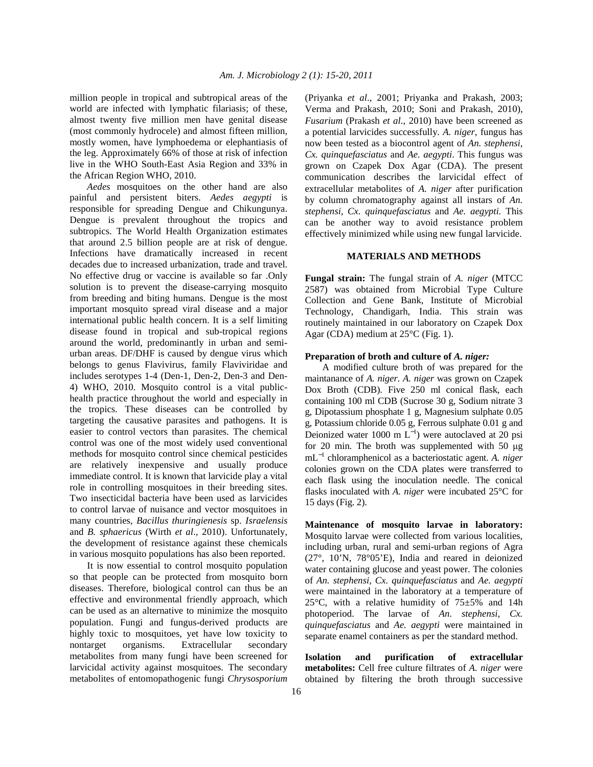million people in tropical and subtropical areas of the world are infected with lymphatic filariasis; of these, almost twenty five million men have genital disease (most commonly hydrocele) and almost fifteen million, mostly women, have lymphoedema or elephantiasis of the leg. Approximately 66% of those at risk of infection live in the WHO South-East Asia Region and 33% in the African Region WHO, 2010.

 *Aedes* mosquitoes on the other hand are also painful and persistent biters. *Aedes aegypti* is responsible for spreading Dengue and Chikungunya. Dengue is prevalent throughout the tropics and subtropics. The World Health Organization estimates that around 2.5 billion people are at risk of dengue. Infections have dramatically increased in recent decades due to increased urbanization, trade and travel. No effective drug or vaccine is available so far .Only solution is to prevent the disease-carrying mosquito from breeding and biting humans. Dengue is the most important mosquito spread viral disease and a major international public health concern. It is a self limiting disease found in tropical and sub-tropical regions around the world, predominantly in urban and semiurban areas. DF/DHF is caused by dengue virus which belongs to genus Flavivirus, family Flaviviridae and includes serotypes 1-4 (Den-1, Den-2, Den-3 and Den-4) WHO, 2010. Mosquito control is a vital publichealth practice throughout the world and especially in the tropics. These diseases can be controlled by targeting the causative parasites and pathogens. It is easier to control vectors than parasites. The chemical control was one of the most widely used conventional methods for mosquito control since chemical pesticides are relatively inexpensive and usually produce immediate control. It is known that larvicide play a vital role in controlling mosquitoes in their breeding sites. Two insecticidal bacteria have been used as larvicides to control larvae of nuisance and vector mosquitoes in many countries, *Bacillus thuringienesis* sp. *Israelensis*  and *B. sphaericus* (Wirth *et al*., 2010). Unfortunately, the development of resistance against these chemicals in various mosquito populations has also been reported.

 It is now essential to control mosquito population so that people can be protected from mosquito born diseases. Therefore, biological control can thus be an effective and environmental friendly approach, which can be used as an alternative to minimize the mosquito population. Fungi and fungus-derived products are highly toxic to mosquitoes, yet have low toxicity to nontarget organisms. Extracellular secondary metabolites from many fungi have been screened for larvicidal activity against mosquitoes. The secondary metabolites of entomopathogenic fungi *Chrysosporium* 

(Priyanka *et al*., 2001; Priyanka and Prakash, 2003; Verma and Prakash, 2010; Soni and Prakash, 2010), *Fusarium* (Prakash *et al*., 2010) have been screened as a potential larvicides successfully. *A. niger*, fungus has now been tested as a biocontrol agent of *An. stephensi, Cx. quinquefasciatus* and *Ae. aegypti*. This fungus was grown on Czapek Dox Agar (CDA). The present communication describes the larvicidal effect of extracellular metabolites of *A. niger* after purification by column chromatography against all instars of *An. stephensi, Cx. quinquefasciatus* and *Ae. aegypti.* This can be another way to avoid resistance problem effectively minimized while using new fungal larvicide.

# **MATERIALS AND METHODS**

**Fungal strain:** The fungal strain of *A. niger* (MTCC 2587) was obtained from Microbial Type Culture Collection and Gene Bank, Institute of Microbial Technology, Chandigarh, India. This strain was routinely maintained in our laboratory on Czapek Dox Agar (CDA) medium at 25°C (Fig. 1).

## **Preparation of broth and culture of** *A. niger:*

 A modified culture broth of was prepared for the maintanance of *A. niger*. *A. niger* was grown on Czapek Dox Broth (CDB). Five 250 ml conical flask, each containing 100 ml CDB (Sucrose 30 g, Sodium nitrate 3 g, Dipotassium phosphate 1 g, Magnesium sulphate 0.05 g, Potassium chloride 0.05 g, Ferrous sulphate 0.01 g and Deionized water 1000 m  $L^{-1}$ ) were autoclaved at 20 psi for 20 min. The broth was supplemented with 50  $\mu$ g mL<sup>−</sup><sup>1</sup> chloramphenicol as a bacteriostatic agent. *A. niger*  colonies grown on the CDA plates were transferred to each flask using the inoculation needle. The conical flasks inoculated with *A. niger* were incubated 25°C for 15 days (Fig. 2).

**Maintenance of mosquito larvae in laboratory:**  Mosquito larvae were collected from various localities, including urban, rural and semi-urban regions of Agra (27°, 10'N, 78°05'E), India and reared in deionized water containing glucose and yeast power. The colonies of *An. stephensi, Cx. quinquefasciatus* and *Ae. aegypti*  were maintained in the laboratory at a temperature of 25 $\degree$ C, with a relative humidity of 75 $\pm$ 5% and 14h photoperiod. The larvae of *An. stephensi, Cx. quinquefasciatus* and *Ae. aegypti* were maintained in separate enamel containers as per the standard method.

**Isolation and purification of extracellular metabolites:** Cell free culture filtrates of *A. niger* were obtained by filtering the broth through successive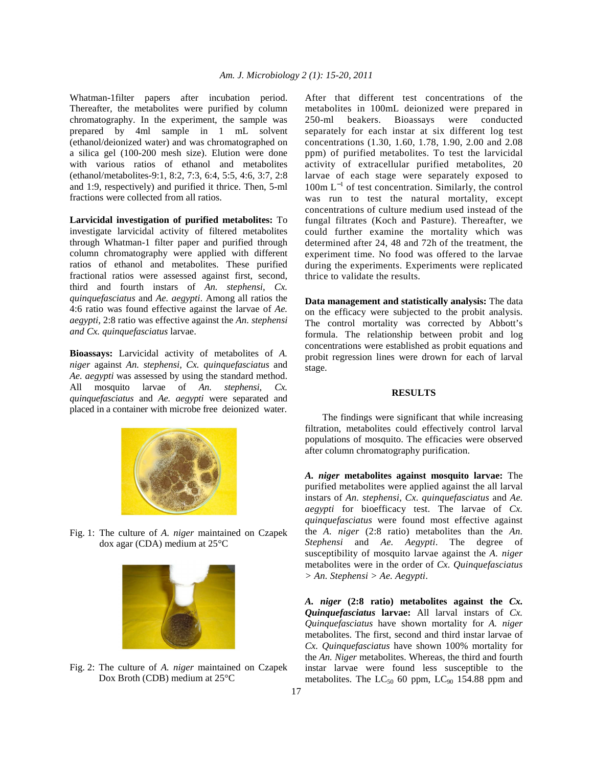Whatman-1filter papers after incubation period. Thereafter, the metabolites were purified by column chromatography. In the experiment, the sample was prepared by 4ml sample in 1 mL solvent (ethanol/deionized water) and was chromatographed on a silica gel (100-200 mesh size). Elution were done with various ratios of ethanol and metabolites (ethanol/metabolites-9:1, 8:2, 7:3, 6:4, 5:5, 4:6, 3:7, 2:8 and 1:9, respectively) and purified it thrice. Then, 5-ml fractions were collected from all ratios.

**Larvicidal investigation of purified metabolites:** To investigate larvicidal activity of filtered metabolites through Whatman-1 filter paper and purified through column chromatography were applied with different ratios of ethanol and metabolites. These purified fractional ratios were assessed against first, second, third and fourth instars of *An. stephensi, Cx. quinquefasciatus* and *Ae. aegypti*. Among all ratios the 4:6 ratio was found effective against the larvae of *Ae. aegypti,* 2:8 ratio was effective against the *An. stephensi and Cx. quinquefasciatus* larvae.

**Bioassays:** Larvicidal activity of metabolites of *A. niger* against *An. stephensi, Cx. quinquefasciatus* and *Ae. aegypti* was assessed by using the standard method. All mosquito larvae of *An. stephensi, Cx. quinquefasciatus* and *Ae. aegypti* were separated and placed in a container with microbe free deionized water.



Fig. 1: The culture of *A. niger* maintained on Czapek dox agar (CDA) medium at 25°C



Fig. 2: The culture of *A. niger* maintained on Czapek Dox Broth (CDB) medium at 25°C

After that different test concentrations of the metabolites in 100mL deionized were prepared in 250-ml beakers. Bioassays were conducted separately for each instar at six different log test concentrations (1.30, 1.60, 1.78, 1.90, 2.00 and 2.08 ppm) of purified metabolites. To test the larvicidal activity of extracellular purified metabolites, 20 larvae of each stage were separately exposed to 100m L<sup>−</sup><sup>1</sup> of test concentration. Similarly, the control was run to test the natural mortality, except concentrations of culture medium used instead of the fungal filtrates (Koch and Pasture). Thereafter, we could further examine the mortality which was determined after 24, 48 and 72h of the treatment, the experiment time. No food was offered to the larvae during the experiments. Experiments were replicated thrice to validate the results.

**Data management and statistically analysis:** The data on the efficacy were subjected to the probit analysis. The control mortality was corrected by Abbott's formula. The relationship between probit and log concentrations were established as probit equations and probit regression lines were drown for each of larval stage.

#### **RESULTS**

 The findings were significant that while increasing filtration, metabolites could effectively control larval populations of mosquito. The efficacies were observed after column chromatography purification.

*A. niger* **metabolites against mosquito larvae:** The purified metabolites were applied against the all larval instars of *An. stephensi, Cx. quinquefasciatus* and *Ae. aegypti* for bioefficacy test. The larvae of *Cx. quinquefasciatus* were found most effective against the *A. niger* (2:8 ratio) metabolites than the *An. Stephensi* and *Ae. Aegypti*. The degree of susceptibility of mosquito larvae against the *A. niger*  metabolites were in the order of *Cx. Quinquefasciatus > An. Stephensi > Ae. Aegypti*.

*A. niger* **(2:8 ratio) metabolites against the** *Cx. Quinquefasciatus* **larvae:** All larval instars of *Cx. Quinquefasciatus* have shown mortality for *A. niger*  metabolites. The first, second and third instar larvae of *Cx. Quinquefasciatus* have shown 100% mortality for the *An. Niger* metabolites. Whereas, the third and fourth instar larvae were found less susceptible to the metabolites. The  $LC_{50}$  60 ppm,  $LC_{90}$  154.88 ppm and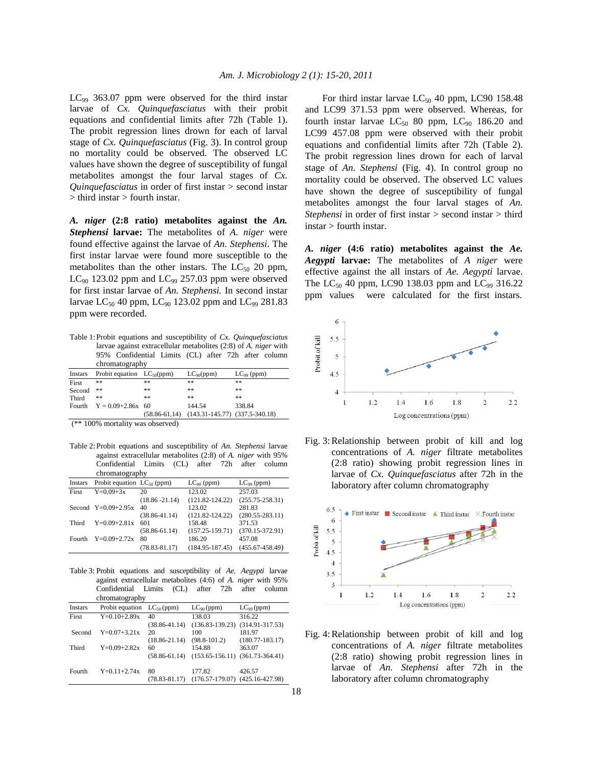$LC_{99}$  363.07 ppm were observed for the third instar larvae of *Cx. Quinquefasciatus* with their probit equations and confidential limits after 72h (Table 1). The probit regression lines drown for each of larval stage of *Cx. Quinquefasciatus* (Fig. 3). In control group no mortality could be observed. The observed LC values have shown the degree of susceptibility of fungal metabolites amongst the four larval stages of *Cx. Quinquefasciatus* in order of first instar > second instar > third instar > fourth instar.

*A. niger* **(2:8 ratio) metabolites against the** *An. Stephensi* **larvae:** The metabolites of *A. niger* were found effective against the larvae of *An. Stephensi*. The first instar larvae were found more susceptible to the metabolites than the other instars. The  $LC_{50}$  20 ppm,  $LC_{90}$  123.02 ppm and  $LC_{99}$  257.03 ppm were observed for first instar larvae of *An. Stephensi.* In second instar larvae LC<sub>50</sub> 40 ppm, LC<sub>90</sub> 123.02 ppm and LC<sub>99</sub> 281.83 ppm were recorded.

Table 1: Probit equations and susceptibility of *Cx. Quinquefasciatus*  larvae against extracellular metabolites (2:8) of *A. niger* with 95% Confidential Limits (CL) after 72h after column chromatography

| Instars | Probit equation $LC_{50}(ppm)$ |                   | $LC_{90}(ppm)$                                   | $LC_{99}$ (ppm) |
|---------|--------------------------------|-------------------|--------------------------------------------------|-----------------|
| First   | **                             | **                | **                                               | **              |
| Second  | **                             | **                | **                                               | **              |
| Third   | **                             | **                | **                                               | **              |
| Fourth  | $Y = 0.09 + 2.86x$ 60          | $(58.86 - 61.14)$ | 144.54<br>$(143.31 - 145.77)$ $(337.5 - 340.18)$ | 338.84          |

(\*\* 100% mortality was observed)

Table 2: Probit equations and susceptibility of *An. Stephensi* larvae against extracellular metabolites (2:8) of *A. niger* with 95% Confidential Limits (CL) after 72h after column chromatography

| $\mathsf{c}$ momatography |                                 |                   |                     |                     |
|---------------------------|---------------------------------|-------------------|---------------------|---------------------|
| Instars                   | Probit equation $LC_{50}$ (ppm) |                   | $LC_{90}$ (ppm)     | $LC_{99}$ (ppm)     |
| First                     | $Y=0.09+3x$                     | 20                | 123.02              | 257.03              |
|                           |                                 | $(18.86 - 21.14)$ | $(121.82 - 124.22)$ | $(255.75 - 258.31)$ |
|                           | Second $Y=0.09+2.95x$           | 40                | 123.02              | 281.83              |
|                           |                                 | $(38.86 - 41.14)$ | $(121.82 - 124.22)$ | $(280.55 - 283.11)$ |
| Third                     | $Y=0.09+2.81x$                  | 601               | 158.48              | 371.53              |
|                           |                                 | $(58.86 - 61.14)$ | $(157.25 - 159.71)$ | $(370.15 - 372.91)$ |
| Fourth                    | $Y=0.09+2.72x$                  | 80                | 186.20              | 457.08              |
|                           |                                 | $(78.83 - 81.17)$ | $(184.95 - 187.45)$ | $(455.67 - 458.49)$ |
|                           |                                 |                   |                     |                     |

Table 3: Probit equations and susceptibility of *Ae. Aegypti* larvae against extracellular metabolites (4:6) of *A. niger* with 95% Confidential Limits (CL) after 72h after column chromatography

| Instars | Probit equation $LC_{50}$ (ppm) |                   | $LC_{90}$ (ppm)     | $LC_{99}$ (ppm)     |
|---------|---------------------------------|-------------------|---------------------|---------------------|
| First   | $Y=0.10+2.89x$                  | 40                | 138.03              | 316.22              |
|         |                                 | $(38.86 - 41.14)$ | $(136.83 - 139.23)$ | $(314.91 - 317.53)$ |
| Second  | $Y=0.07+3.21x$                  | 20                | 100                 | 181.97              |
|         |                                 | $(18.86 - 21.14)$ | $(98.8 - 101.2)$    | $(180.77 - 183.17)$ |
| Third   | $Y=0.09+2.82x$                  | 60                | 154.88              | 363.07              |
|         |                                 | $(58.86 - 61.14)$ | $(153.65 - 156.11)$ | $(361.73 - 364.41)$ |
| Fourth  | $Y=0.11+2.74x$                  | 80                | 177.82              | 426.57              |
|         |                                 | $(78.83 - 81.17)$ | $(176.57 - 179.07)$ | $(425.16 - 427.98)$ |

For third instar larvae  $LC_{50}$  40 ppm, LC90 158.48 and LC99 371.53 ppm were observed. Whereas, for fourth instar larvae  $LC_{50}$  80 ppm,  $LC_{90}$  186.20 and LC99 457.08 ppm were observed with their probit equations and confidential limits after 72h (Table 2). The probit regression lines drown for each of larval stage of *An. Stephensi* (Fig. 4). In control group no mortality could be observed. The observed LC values have shown the degree of susceptibility of fungal metabolites amongst the four larval stages of *An. Stephensi* in order of first instar > second instar > third instar > fourth instar.

*A. niger* **(4:6 ratio) metabolites against the** *Ae. Aegypti* **larvae:** The metabolites of *A niger* were effective against the all instars of *Ae. Aegypti* larvae. The  $LC_{50}$  40 ppm, LC90 138.03 ppm and  $LC_{99}$  316.22 ppm values were calculated for the first instars.







Fig. 4: Relationship between probit of kill and log concentrations of *A. niger* filtrate metabolites (2:8 ratio) showing probit regression lines in larvae of *An. Stephensi* after 72h in the laboratory after column chromatography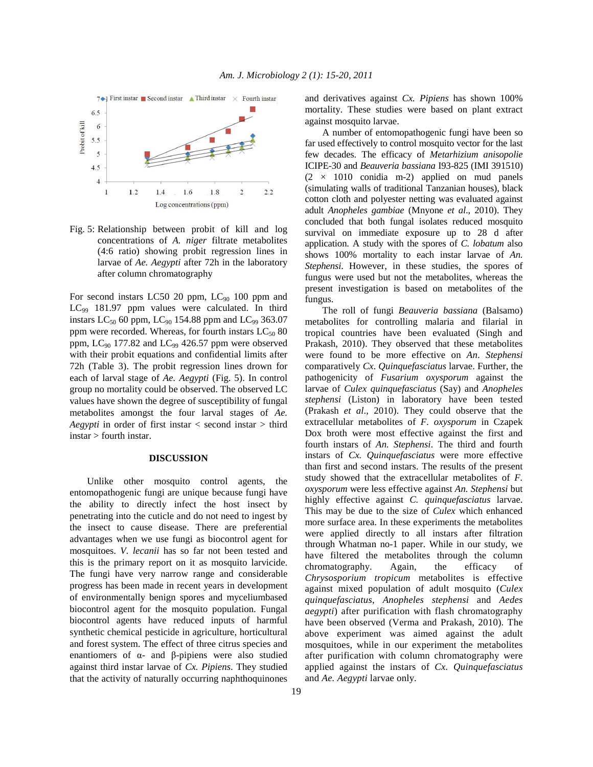

Fig. 5: Relationship between probit of kill and log concentrations of *A. niger* filtrate metabolites (4:6 ratio) showing probit regression lines in larvae of *Ae. Aegypti* after 72h in the laboratory after column chromatography

For second instars LC50 20 ppm,  $LC_{90}$  100 ppm and LC<sub>99</sub> 181.97 ppm values were calculated. In third instars  $LC_{50}$  60 ppm,  $LC_{90}$  154.88 ppm and  $LC_{99}$  363.07 ppm were recorded. Whereas, for fourth instars  $LC_{50}$  80 ppm,  $LC_{90}$  177.82 and  $LC_{99}$  426.57 ppm were observed with their probit equations and confidential limits after 72h (Table 3). The probit regression lines drown for each of larval stage of *Ae. Aegypti* (Fig. 5). In control group no mortality could be observed. The observed LC values have shown the degree of susceptibility of fungal metabolites amongst the four larval stages of *Ae. Aegypti* in order of first instar < second instar > third instar > fourth instar.

# **DISCUSSION**

 Unlike other mosquito control agents, the entomopathogenic fungi are unique because fungi have the ability to directly infect the host insect by penetrating into the cuticle and do not need to ingest by the insect to cause disease. There are preferential advantages when we use fungi as biocontrol agent for mosquitoes. *V. lecanii* has so far not been tested and this is the primary report on it as mosquito larvicide. The fungi have very narrow range and considerable progress has been made in recent years in development of environmentally benign spores and myceliumbased biocontrol agent for the mosquito population. Fungal biocontrol agents have reduced inputs of harmful synthetic chemical pesticide in agriculture, horticultural and forest system. The effect of three citrus species and enantiomers of α- and β-pipiens were also studied against third instar larvae of *Cx. Pipiens*. They studied that the activity of naturally occurring naphthoquinones

and derivatives against *Cx. Pipiens* has shown 100% mortality. These studies were based on plant extract against mosquito larvae.

 A number of entomopathogenic fungi have been so far used effectively to control mosquito vector for the last few decades. The efficacy of *Metarhizium anisopolie*  ICIPE-30 and *Beauveria bassiana* I93-825 (IMI 391510)  $(2 \times 1010$  conidia m-2) applied on mud panels (simulating walls of traditional Tanzanian houses), black cotton cloth and polyester netting was evaluated against adult *Anopheles gambiae* (Mnyone *et al*., 2010). They concluded that both fungal isolates reduced mosquito survival on immediate exposure up to 28 d after application. A study with the spores of *C. lobatum* also shows 100% mortality to each instar larvae of *An. Stephensi*. However, in these studies, the spores of fungus were used but not the metabolites, whereas the present investigation is based on metabolites of the fungus.

 The roll of fungi *Beauveria bassiana* (Balsamo) metabolites for controlling malaria and filarial in tropical countries have been evaluated (Singh and Prakash, 2010). They observed that these metabolites were found to be more effective on *An*. *Stephensi*  comparatively *Cx*. *Quinquefasciatus* larvae. Further, the pathogenicity of *Fusarium oxysporum* against the larvae of *Culex quinquefasciatus* (Say) and *Anopheles stephensi* (Liston) in laboratory have been tested (Prakash *et al*., 2010). They could observe that the extracellular metabolites of *F. oxysporum* in Czapek Dox broth were most effective against the first and fourth instars of *An. Stephensi*. The third and fourth instars of *Cx. Quinquefasciatus* were more effective than first and second instars. The results of the present study showed that the extracellular metabolites of *F. oxysporum* were less effective against *An. Stephensi* but highly effective against *C. quinquefasciatus* larvae. This may be due to the size of *Culex* which enhanced more surface area. In these experiments the metabolites were applied directly to all instars after filtration through Whatman no-1 paper. While in our study, we have filtered the metabolites through the column chromatography. Again, the efficacy of *Chrysosporium tropicum* metabolites is effective against mixed population of adult mosquito (*Culex quinquefasciatus*, *Anopheles stephensi* and *Aedes aegypti*) after purification with flash chromatography have been observed (Verma and Prakash, 2010). The above experiment was aimed against the adult mosquitoes, while in our experiment the metabolites after purification with column chromatography were applied against the instars of *Cx. Quinquefasciatus*  and *Ae. Aegypti* larvae only.